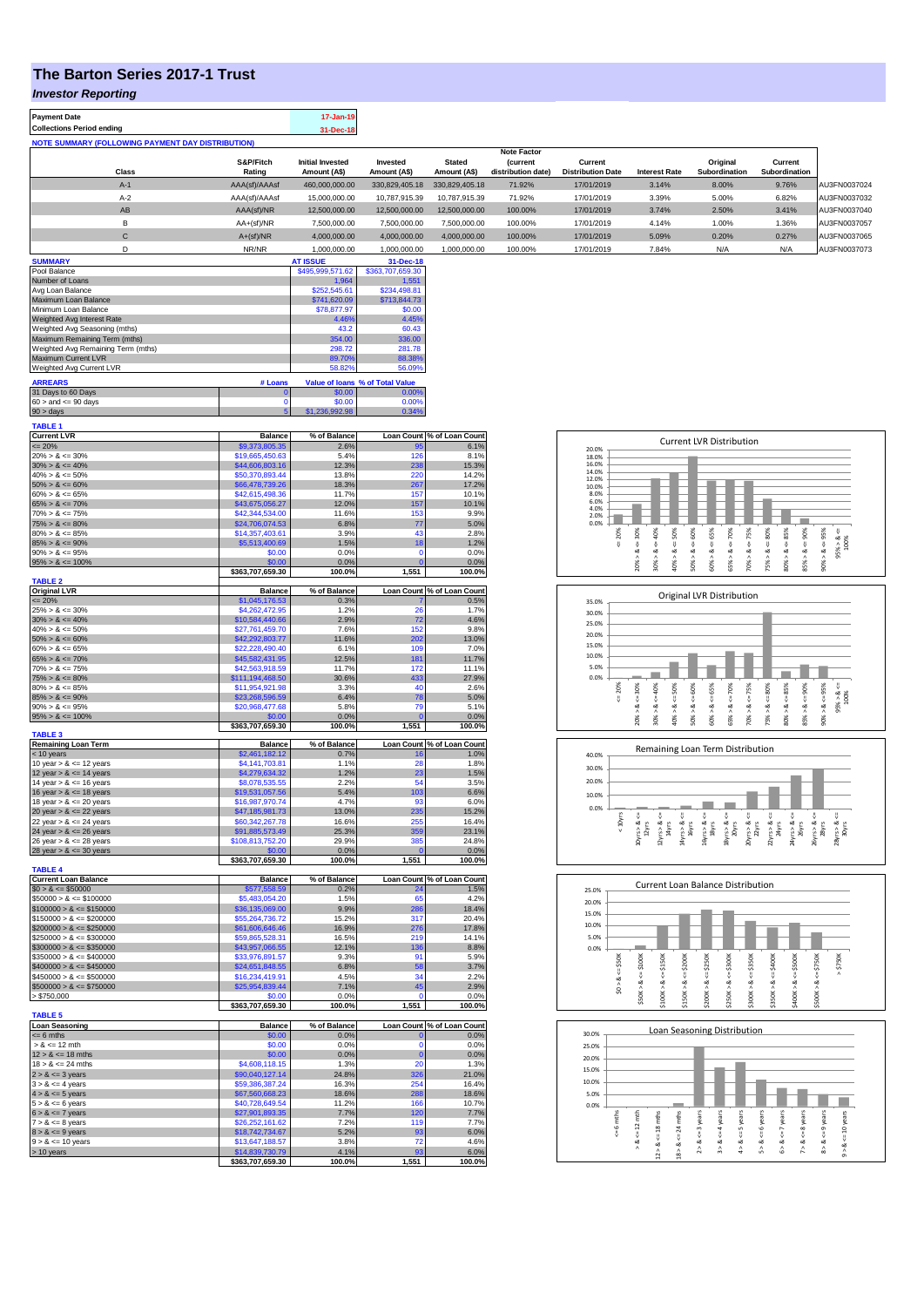## **The Barton Series 2017-1 Trust**

*Investor Reporting*

| <b>Investor <i>I</i>NEPORTING</b>                              |                                     |                                         |                                 |                                    |                                                      |                                     |                                                                              |                                                                   |                                                                                  |                            |
|----------------------------------------------------------------|-------------------------------------|-----------------------------------------|---------------------------------|------------------------------------|------------------------------------------------------|-------------------------------------|------------------------------------------------------------------------------|-------------------------------------------------------------------|----------------------------------------------------------------------------------|----------------------------|
| <b>Payment Date</b>                                            |                                     | 17-Jan-19                               |                                 |                                    |                                                      |                                     |                                                                              |                                                                   |                                                                                  |                            |
| <b>Collections Period ending</b>                               |                                     | 31-Dec-18                               |                                 |                                    |                                                      |                                     |                                                                              |                                                                   |                                                                                  |                            |
| <b>NOTE SUMMARY (FOLLOWING PAYMENT DAY DISTRIBUTION)</b>       |                                     |                                         |                                 |                                    |                                                      |                                     |                                                                              |                                                                   |                                                                                  |                            |
| Class                                                          | S&P/Fitch<br>Rating                 | <b>Initial Invested</b><br>Amount (A\$) | Invested<br>Amount (A\$)        | <b>Stated</b><br>Amount (A\$)      | <b>Note Factor</b><br>(current<br>distribution date) | Current<br><b>Distribution Date</b> | <b>Interest Rate</b>                                                         | Original<br>Subordination                                         | Current<br>Subordination                                                         |                            |
| $A-1$                                                          | AAA(sf)/AAAsf                       | 460,000,000.00                          | 330,829,405.18                  | 330,829,405.18                     | 71.92%                                               | 17/01/2019                          | 3.14%                                                                        | 8.00%                                                             | 9.76%                                                                            | AU3FN0037024               |
| $A-2$                                                          | AAA(sf)/AAAsf                       | 15,000,000.00                           | 10,787,915.39                   | 10,787,915.39                      | 71.92%                                               | 17/01/2019                          | 3.39%                                                                        | 5.00%                                                             | 6.82%                                                                            | AU3FN0037032               |
| AB                                                             | AAA(sf)/NR                          | 12,500,000.00                           | 12,500,000.00                   | 12,500,000.00                      | 100.00%                                              | 17/01/2019                          | 3.74%                                                                        | 2.50%                                                             | 3.41%                                                                            | AU3FN0037040               |
| B                                                              | AA+(sf)/NR                          | 7,500,000.00                            | 7,500,000.00                    | 7,500,000.00                       | 100.00%                                              | 17/01/2019                          | 4.14%                                                                        | 1.00%                                                             | 1.36%                                                                            | AU3FN0037057               |
| $\mathbf{C}$                                                   | $A+(sf)/NR$                         | 4,000,000.00                            | 4,000,000.00                    | 4,000,000.00                       | 100.00%                                              | 17/01/2019                          | 5.09%                                                                        | 0.20%                                                             | 0.27%                                                                            | AU3FN0037065               |
| D                                                              | NR/NR                               | 1,000,000.00                            | 1,000,000.00                    | 1,000,000.00                       | 100.00%                                              | 17/01/2019                          | 7.84%                                                                        | N/A                                                               | N/A                                                                              | AU3FN0037073               |
| <b>SUMMARY</b>                                                 |                                     | <b>AT ISSUE</b>                         | 31-Dec-18                       |                                    |                                                      |                                     |                                                                              |                                                                   |                                                                                  |                            |
| Pool Balance                                                   |                                     | \$495,999,571.62                        | \$363,707,659.30                |                                    |                                                      |                                     |                                                                              |                                                                   |                                                                                  |                            |
| Number of Loans                                                |                                     | 1,964<br>\$252,545.61                   | 1,551<br>\$234,498.81           |                                    |                                                      |                                     |                                                                              |                                                                   |                                                                                  |                            |
| Avg Loan Balance<br>Maximum Loan Balance                       |                                     | \$741,620.09                            | \$713,844.73                    |                                    |                                                      |                                     |                                                                              |                                                                   |                                                                                  |                            |
| Minimum Loan Balance                                           |                                     | \$78,877.97                             | \$0.00                          |                                    |                                                      |                                     |                                                                              |                                                                   |                                                                                  |                            |
| Weighted Avg Interest Rate                                     |                                     | 4.46%                                   | 4.45%                           |                                    |                                                      |                                     |                                                                              |                                                                   |                                                                                  |                            |
| Weighted Avg Seasoning (mths)<br>Maximum Remaining Term (mths) |                                     | 43.2<br>354.00                          | 60.43<br>336.00                 |                                    |                                                      |                                     |                                                                              |                                                                   |                                                                                  |                            |
| Weighted Avg Remaining Term (mths)                             |                                     | 298.72                                  | 281.78                          |                                    |                                                      |                                     |                                                                              |                                                                   |                                                                                  |                            |
| Maximum Current LVR                                            |                                     | 89.70%                                  | 88.38%                          |                                    |                                                      |                                     |                                                                              |                                                                   |                                                                                  |                            |
| Weighted Avg Current LVR                                       |                                     | 58.82%                                  | 56.09%                          |                                    |                                                      |                                     |                                                                              |                                                                   |                                                                                  |                            |
| <b>ARREARS</b>                                                 | # Loans                             |                                         | Value of Ioans % of Total Value |                                    |                                                      |                                     |                                                                              |                                                                   |                                                                                  |                            |
| 31 Days to 60 Days<br>$60 >$ and $\leq 90$ days                | r                                   | \$0.00<br>\$0.00                        | 0.00%<br>0.00%                  |                                    |                                                      |                                     |                                                                              |                                                                   |                                                                                  |                            |
| $90 >$ days                                                    |                                     | 992.98<br>\$1,236                       | 0.34%                           |                                    |                                                      |                                     |                                                                              |                                                                   |                                                                                  |                            |
| <b>TABLE 1</b>                                                 |                                     |                                         |                                 |                                    |                                                      |                                     |                                                                              |                                                                   |                                                                                  |                            |
| <b>Current LVR</b>                                             | <b>Balance</b>                      | % of Balance                            |                                 | Loan Count % of Loan Count         |                                                      |                                     |                                                                              | <b>Current LVR Distribution</b>                                   |                                                                                  |                            |
| $= 20%$                                                        | \$9,373,805.35                      | 2.6%                                    | 95                              | 6.1%                               |                                                      | 20.0%                               |                                                                              |                                                                   |                                                                                  |                            |
| $20\% > 8 \le 30\%$<br>$30\% > 8 \le 40\%$                     | \$19,665,450.63<br>\$44,606,803.16  | 5.4%<br>12.3%                           | 126<br>238                      | 8.1%<br>15.3%                      |                                                      | 18.0%<br>16.0%                      |                                                                              |                                                                   |                                                                                  |                            |
| $40\% > 8 \le 50\%$                                            | \$50,370,893.44                     | 13.8%                                   | 220                             | 14.2%                              |                                                      | 14.0%<br>12.0%                      |                                                                              |                                                                   |                                                                                  |                            |
| $50\% > 8 \le 60\%$                                            | 66,478,739.26                       | 18.3%                                   | 267                             | 17.2%                              |                                                      | 10.0%                               |                                                                              |                                                                   |                                                                                  |                            |
| $60\% > 8 \le 65\%$<br>$65\% > 8 \le 70\%$                     | \$42,615,498.36                     | 11.7%<br>12.0%                          | 157<br>157                      | 10.1%                              |                                                      | 8.0%<br>6.0%                        |                                                                              |                                                                   |                                                                                  |                            |
| $70\% > 8 \le 75\%$                                            | \$43,675,056.27<br>\$42,344,534.00  | 11.6%                                   | 153                             | 10.1%<br>9.9%                      |                                                      | 4.0%<br>2.0%                        |                                                                              |                                                                   |                                                                                  |                            |
| $75\% > 8 \le 80\%$                                            | \$24,706,074.53                     | 6.8%                                    | 77                              | 5.0%                               |                                                      | 0.0%                                |                                                                              |                                                                   |                                                                                  |                            |
| $80\% > 8 \le 85\%$                                            | \$14,357,403.61                     | 3.9%                                    | 43                              | 2.8%                               |                                                      | 20%                                 | 30%<br>$\approx 50\%$<br>40%                                                 | 60%<br>65%<br>75%                                                 |                                                                                  |                            |
| $85\% > 8 \le 90\%$<br>$90\% > 8 \le 95\%$                     | \$5,513,400.69<br>\$0.00            | 1.5%<br>0.0%                            | 18<br>$\overline{0}$            | 1.2%<br>0.0%                       |                                                      | IJ,                                 | $\sqrt{2}$<br>Ÿ,                                                             | $\ddot{\mathrm{v}}$<br>$\stackrel{u}{\vee}$<br>Ÿ,                 |                                                                                  | $95\% > 8$ <=<br>100%      |
| $95\% > 8 \le 100\%$                                           | \$0.00                              | 0.0%                                    |                                 | 0.0%                               |                                                      |                                     | $20\% > 8.$<br>30% > 8<br>40% > 8                                            | $65\% > 8 \Leftarrow 70\%$<br>50% > 8.<br>60% > 8<br>70% > 8      | $80\% > 8 \Leftarrow 85\%$<br>$85\% > 8 \Leftarrow 90\%$<br>$75\% > 8 \leq 80\%$ | $90\% > 8 <= 95\%$         |
|                                                                | \$363,707,659.30                    | 100.0%                                  | 1,551                           | 100.0%                             |                                                      |                                     |                                                                              |                                                                   |                                                                                  |                            |
| <b>TABLE 2</b><br><b>Original LVR</b>                          | <b>Balance</b>                      | % of Balance                            |                                 | Loan Count % of Loan Count         |                                                      |                                     |                                                                              |                                                                   |                                                                                  |                            |
| $\leq$ 20%                                                     | \$1,045,176.53                      | 0.3%                                    |                                 | 0.5%                               |                                                      | 35.0%                               |                                                                              | Original LVR Distribution                                         |                                                                                  |                            |
| $25\% > 8 \le 30\%$                                            | \$4,262,472.95                      | 1.2%                                    | 26                              | 1.7%                               |                                                      | 30.0%                               |                                                                              |                                                                   |                                                                                  |                            |
| $30\% > 8 \le 40\%$                                            | \$10,584,440.66                     | 2.9%                                    | 72                              | 4.6%                               |                                                      | 25.0%                               |                                                                              |                                                                   |                                                                                  |                            |
| $40\% > 8 \le 50\%$<br>$50\% > 8 \le 60\%$                     | \$27,761,459.70<br>\$42,292,803.77  | 7.6%<br>11.6%                           | 152<br>202                      | 9.8%<br>13.0%                      |                                                      | 20.0%                               |                                                                              |                                                                   |                                                                                  |                            |
| $60\% > 8 \le 65\%$                                            | \$22,228,490.40                     | 6.1%                                    | 109                             | 7.0%                               |                                                      | 15.0%                               |                                                                              |                                                                   |                                                                                  |                            |
| $65\% > 8 \le 70\%$                                            | \$45,582,431.95                     | 12.5%                                   | 181                             | 11.7%                              |                                                      | 10.0%                               |                                                                              |                                                                   |                                                                                  |                            |
| $70\% > 8 \le 75\%$<br>$75\% > 8 \le 80\%$                     | \$42,563,918.59<br>\$111,194,468.50 | 11.7%<br>30.6%                          | 172<br>433                      | 11.1%<br>27.9%                     |                                                      | 5.0%<br>0.0%                        |                                                                              |                                                                   |                                                                                  |                            |
| $80\% > 8 \le 85\%$                                            | \$11,954,921.98                     | 3.3%                                    | 40                              | 2.6%                               |                                                      | 20%                                 | 40%                                                                          |                                                                   |                                                                                  |                            |
| $85\% > 8 \le 90\%$                                            | \$23,268,596.59                     | 6.4%                                    | 78                              | 5.0%                               |                                                      | U,                                  | $<=30%$<br>$8c = 50%$<br>8 < 1                                               | $<=65\%$<br>$<=70\%$<br>$<=75%$<br>$<=60%$                        | $<=80\%$                                                                         | $95\% > 8 <=$<br>100%      |
| $90\% > 8 \le 95\%$                                            | \$20,968,477.68                     | 5.8%                                    | 79                              | 5.1%                               |                                                      |                                     |                                                                              |                                                                   | $80\% > 8 <= 85\%$<br>$85\% > 8 <= 90\%$                                         | $90\% > 8 <= 95\%$         |
| $95\% > 8 \le 100\%$                                           | \$0.00<br>\$363,707,659.30          | 0.0%<br>100.0%                          | 1,551                           | 0.0%<br>100.0%                     |                                                      |                                     | 20% ><br>30% ><br>$40\%$                                                     | 65% ><br>$50\%$ $>$<br>60% ><br>70% >                             | 75% >                                                                            |                            |
| <b>TABLE 3</b>                                                 |                                     |                                         |                                 |                                    |                                                      |                                     |                                                                              |                                                                   |                                                                                  |                            |
| <b>Remaining Loan Term</b><br>$<$ 10 years                     | Balance<br>\$2,461,182.12           | % of Balance<br>0.7%                    | 16                              | Loan Count % of Loan Count<br>1.0% |                                                      |                                     |                                                                              | Remaining Loan Term Distribution                                  |                                                                                  |                            |
| 10 year $> 8 \le 12$ years                                     | \$4,141,703.81                      | 1.1%                                    | 28                              | 1.8%                               |                                                      | 40.0%                               |                                                                              |                                                                   |                                                                                  |                            |
| 12 year $> 8 \le 14$ years                                     | \$4,279,634.32                      | 1.2%                                    | 23                              | 1.5%                               |                                                      | 30.0%                               |                                                                              |                                                                   |                                                                                  |                            |
| 14 year $> 8 \le 16$ years                                     | \$8,078,535.55                      | 2.2%                                    | 54                              | 3.5%                               |                                                      | 20.0%                               |                                                                              |                                                                   |                                                                                  |                            |
| 16 year $> 8 \le 18$ years<br>18 year $> 8 \le 20$ years       | \$19,531,057.56<br>\$16,987,970.74  | 5.4%<br>4.7%                            | 103<br>93                       | 6.6%<br>6.0%                       |                                                      | 10.0%                               |                                                                              |                                                                   |                                                                                  |                            |
| 20 year $> 8 \le 22$ years                                     | \$47,185,981.73                     | 13.0%                                   | 235                             | 15.2%                              |                                                      | 0.0%                                |                                                                              |                                                                   |                                                                                  |                            |
| 22 year $> 8 \le 24$ years                                     | \$60,342,267.78                     | 16.6%                                   | 255                             | 16.4%                              |                                                      | < 10yrs                             |                                                                              | $\overset{ii}{\vee}$                                              |                                                                                  |                            |
| 24 year $> 8 \le 26$ years                                     | \$91,885,573.49                     | 25.3%                                   | 359                             | 23.1%                              |                                                      |                                     | $12yrs > 8 <=$ $14yrs$<br>$14yrs > 8s < =$ 16yrs<br>$10yrs > 8s < =$ $12yrs$ | $18yrs > 8c =$ $20yrs$<br>$20yrs > 8 <=$<br>$22yrs$<br>16yrs > 8. | $24yrs > 8 <=$<br>$26yrs$<br>22yrs > & 8                                         | 26yrs > & 8.<br>28yrs > 8. |
| 26 year $> 8 \le 28$ years<br>28 year $> 8 < 30$ years         | \$108,813,752.20<br>\$0.00          | 29.9%<br>0.0%                           | 385                             | 24.8%<br>0.0%                      |                                                      |                                     |                                                                              |                                                                   |                                                                                  |                            |
|                                                                | \$363,707,659.30                    | 100.0%                                  | 1,551                           | 100.0%                             |                                                      |                                     |                                                                              |                                                                   |                                                                                  |                            |





| <b>Current Loan Balance</b> | <b>Balance</b>   | % of Balance   |              | Loan Count % of Loan Count |
|-----------------------------|------------------|----------------|--------------|----------------------------|
| $$0 > 8 \leq $50000$        | \$577,558.59     | 0.2%           | 24           | 1.5%                       |
| $$50000 > 8 \le $100000$    | \$5,483,054.20   | 1.5%           | 65           | 4.2%                       |
| $$100000 > 8 \le $150000$   | \$36,135,069.00  | 9.9%           | 286          | 18.4%                      |
| $$150000 > 8 \leq $200000$  | \$55,264,736.72  | 15.2%          | 317          | 20.4%                      |
| $$200000 > 8 \leq $250000$  | \$61,606,646.46  | 16.9%          | 276          | 17.8%                      |
| $$250000 > 8 \leq $300000$  | \$59,865,528,31  | 16.5%          | 219          | 14.1%                      |
| $$300000 > 8 \leq $350000$  | \$43,957,066.55  | 12.1%          | 136          | 8.8%                       |
| $$350000 > 8 \leq $400000$  | \$33,976,891.57  | 9.3%           | 91           | 5.9%                       |
| $$400000 > 8 \leq $450000$  | \$24,651,848.55  | 6.8%           | 58           | 3.7%                       |
| $$450000 > 8 \leq $500000$  | \$16,234,419.91  | 4.5%           | 34           | 2.2%                       |
| $$500000 > 8 \leq $750000$  | \$25,954,839.44  | 7.1%           | 45           | 2.9%                       |
| > \$750.000                 | \$0.00           | 0.0%           | $\Omega$     | 0.0%                       |
|                             | \$363,707,659.30 | 100.0%         | 1.551        | 100.0%                     |
| <b>TABLE 5</b>              |                  |                |              |                            |
| <b>Loan Seasoning</b>       | <b>Balance</b>   | % of Balance   |              | Loan Count % of Loan Count |
|                             |                  |                |              |                            |
| $= 6$ mths                  | \$0.00           | 0.0%           | $\mathbf{0}$ |                            |
| $> 8 \le 12$ mth            | \$0.00           | 0.0%           | 0            | 0.0%<br>0.0%               |
| $12 > 8 \le 18$ mths        | \$0.00           | 0.0%           | $\Omega$     | 0.0%                       |
| $18 > 8 \le 24$ mths        | \$4,608,118.15   | 1.3%           | 20           |                            |
| $2 > 8 \le 3$ years         | \$90,040,127.14  | 24.8%          | 326          | 1.3%<br>21.0%              |
| $3 > 8 \le 4$ vears         | \$59,386,387.24  | 16.3%          | 254          | 16.4%                      |
| $4 > 8 \le 5$ years         | \$67,560,668.23  | 18.6%          | 288          | 18.6%                      |
| $5 > 8 \le 6$ years         | \$40,728,649.54  | 11.2%          | 166          |                            |
| $6 > 8 \le 7$ vears         | \$27,901,893.35  | 7.7%           | 120          |                            |
| $7 > 8 \le 8$ years         | \$26,252,161.62  | 7.2%           | 119          | 10.7%<br>7.7%<br>7.7%      |
| $8 > 8 \le 9$ vears         | \$18,742,734,67  | 5.2%           | 93           | 6.0%                       |
| $9 > 8 \le 10$ years        | \$13,647,188.57  | 3.8%           | 72           | 4.6%                       |
| $> 10$ years                | \$14,839,730.79  | 4.1%<br>100.0% | 93<br>1.551  | 6.0%<br>100.0%             |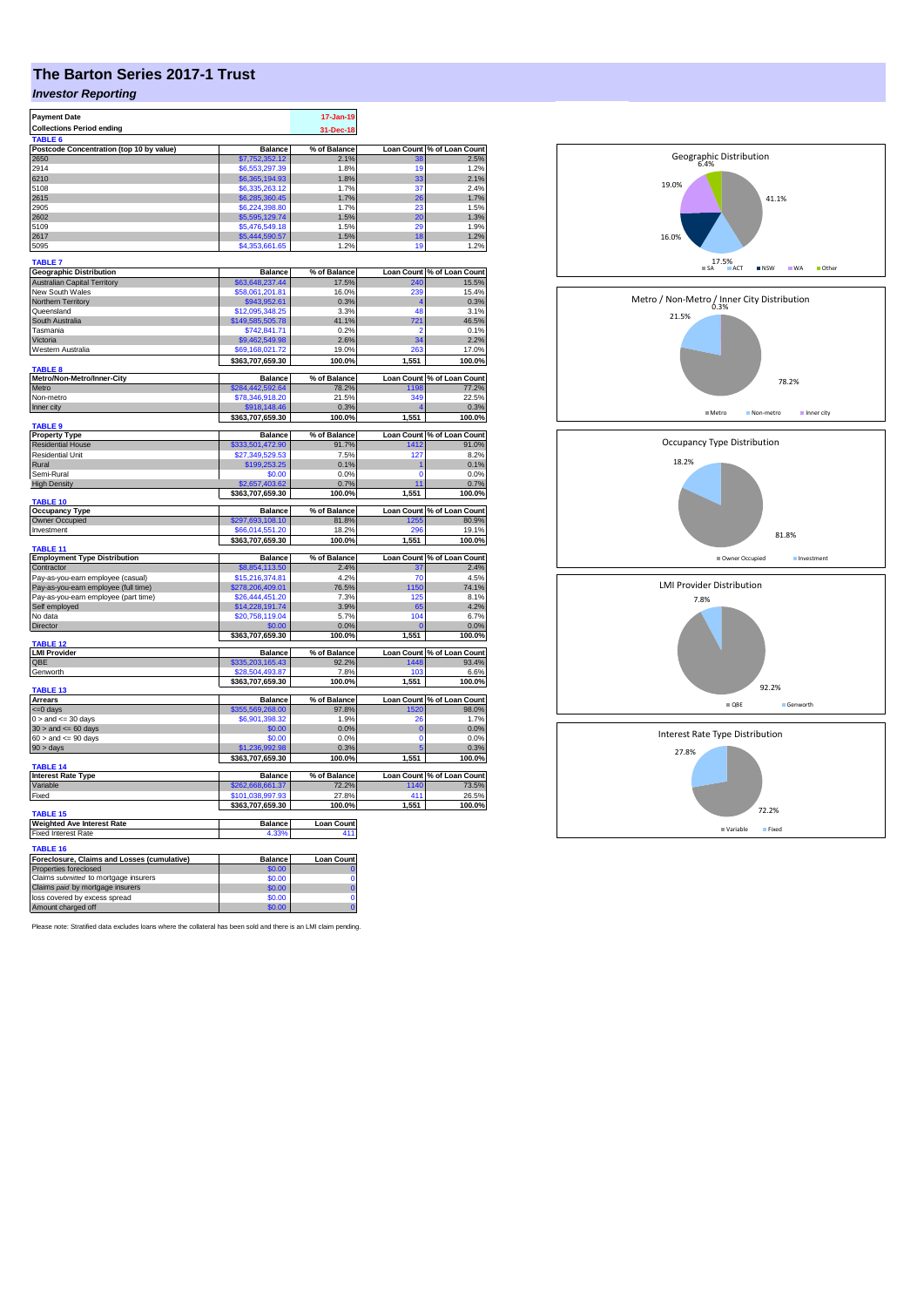## **The Barton Series 2017-1 Trust**

## *Investor Reporting*

| <b>Payment Date</b>                                 |                        | 17-Jan-19           |             |                            |
|-----------------------------------------------------|------------------------|---------------------|-------------|----------------------------|
|                                                     |                        |                     |             |                            |
| <b>Collections Period ending</b>                    |                        | 31-Dec-18           |             |                            |
| <b>TABLE</b>                                        |                        |                     |             |                            |
| Postcode Concentration (top 10 by value)            | <b>Balance</b>         | % of Balance        |             | Loan Count % of Loan Count |
| 2650                                                | \$7,752,352.12         | 2.1%                | 38          | 2.5%                       |
| 2914                                                | \$6,553,297.39         | 1.8%                | 19          | 1.2%                       |
| 6210                                                | \$6,365,194.93         | 1.8%                | 33          | 2.1%                       |
| 5108                                                | \$6,335,263.12         | 1.7%                | 37          | 2.4%                       |
| 2615                                                | \$6,285,360.45         | 1.7%                | 26          | 1.7%                       |
| 2905                                                | \$6,224,398.80         | 1.7%                | 23          | 1.5%                       |
|                                                     |                        |                     |             |                            |
| 2602                                                | \$5,595,129.74         | 1.5%                | 20          | 1.3%                       |
| 5109                                                | \$5,476,549.18         | 1.5%                | 20          | 1.9%                       |
| 2617                                                | \$5,444,590.57         | 1.5%                | 18          | 1.2%                       |
| 5095                                                | \$4,353,661.65         | 1.2%                | 19          | 1.2%                       |
|                                                     |                        |                     |             |                            |
| <b>TABLE 7</b>                                      |                        |                     |             |                            |
| <b>Geographic Distribution</b>                      | <b>Balance</b>         | % of Balance        |             | Loan Count % of Loan Count |
| <b>Australian Capital Territory</b>                 | \$63,648,237.44        | 17.5%               | 240         | 15.5%                      |
| New South Wales                                     | \$58,061,201.81        | 16.0%               | 239         | 15.4%                      |
| Northern Territory                                  | \$943,952.61           | 0.3%                |             | 0.3%                       |
| Queensland                                          | \$12,095,348.25        | 3.3%                | 48          | 3.1%                       |
| South Australia                                     | \$149,585,505.78       | 41.1%               | 721         | 46.5%                      |
| Tasmania                                            | \$742,841.71           | 0.2%                | 2           | 0.1%                       |
| Victoria                                            | \$9,462,549.98         | 2.6%                | 34          | 2.2%                       |
|                                                     | \$69.168.021.72        | 19.0%               | 263         |                            |
| Western Australia                                   |                        |                     |             | 17.0%                      |
|                                                     | \$363,707,659.30       | 100.0%              | 1,551       | 100.0%                     |
| <b>TABLE 8</b>                                      |                        |                     |             |                            |
| Metro/Non-Metro/Inner-City                          | <b>Balance</b>         | % of Balance        |             | Loan Count % of Loan Count |
| Metro                                               | \$284,442,592.64       | 78.2%               | 1198        | 77.2%                      |
| Non-metro                                           | \$78,346,918.20        | 21.5%               | 349         | 22.5%                      |
| Inner city                                          | \$918,148.46           | 0.3%                |             | 0.3%                       |
|                                                     | \$363,707,659.30       | 100.0%              | 1,551       | 100.0%                     |
| TABLE <sub>9</sub>                                  |                        |                     |             |                            |
| <b>Property Type</b>                                | <b>Balance</b>         | % of Balance        |             | Loan Count % of Loan Count |
| <b>Residential House</b>                            | \$333,501,472.90       | 91.7%               | 1412        | 91.0%                      |
| <b>Residential Unit</b>                             | \$27.349.529.53        | 7.5%                | 127         | 8.2%                       |
| Rural                                               |                        |                     |             |                            |
| Semi-Rural                                          | \$199,253.25<br>\$0.00 | 0.1%                |             | 0.1%                       |
|                                                     |                        | 0.0%                | 0           | 0.0%                       |
| <b>High Density</b>                                 | \$2,657,403.62         | 0.7%                | 11          | 0.7%                       |
|                                                     | \$363,707,659.30       | 100.0%              | 1,551       | 100.0%                     |
| TABLE 10                                            |                        |                     |             |                            |
| <b>Occupancy Type</b>                               | Balance                | % of Balance        |             | Loan Count % of Loan Count |
| Owner Occupied                                      | \$297,693,108.10       | 81.8%               | 1255        | 80.9%                      |
| Investment                                          | \$66.014.551.20        | 18.2%               | 29F         | 19.1%                      |
|                                                     | \$363,707,659.30       | 100.0%              | 1,551       | 100.0%                     |
| TABLE <sub>11</sub>                                 |                        |                     |             |                            |
| <b>Employment Type Distribution</b>                 | <b>Balance</b>         | % of Balance        |             | Loan Count % of Loan Count |
| Contractor                                          | \$8,854,113.50         | 2.4%                | 37          | 2.4%                       |
| Pay-as-you-earn employee (casual)                   | \$15,216,374.81        | 4.2%                | 70          | 4.5%                       |
|                                                     | \$278,206,409.01       | 76.5%               | 1150        | 74.1%                      |
| Pay-as-you-earn employee (full time)                |                        |                     | 125         |                            |
| Pay-as-you-earn employee (part time)                | \$26,444,451.20        | 7.3%                |             | 8.1%                       |
| Self employed                                       | \$14,228,191.74        | 3.9%                | 65          | 4.2%                       |
| No data                                             | \$20,758,119.04        | 5.7%                | 104         | 6.7%                       |
| Director                                            | \$0.00                 | 0.0%                |             | 0.0%                       |
|                                                     | \$363,707,659.30       | 100.0%              | 1,551       | 100.0%                     |
| <b>TABLE 12</b>                                     |                        |                     |             |                            |
| <b>LMI Provider</b>                                 | <b>Balance</b>         | % of Balance        |             | Loan Count % of Loan Count |
| OBE                                                 | \$335,203,165.43       | 92.2%               | 1448        | 93.4%                      |
| Genworth                                            | \$28,504,493.87        | 7.8%                | 103         | 6.6%                       |
|                                                     | \$363,707,659.30       | 100.0%              | 1,551       | 100.0%                     |
| TABLE 13                                            |                        |                     |             |                            |
| <b>Arrears</b>                                      | <b>Balance</b>         | % of Balance        |             | Loan Count % of Loan Count |
| <= 0 days                                           |                        |                     |             | 98.0%                      |
| $0 >$ and $\leq$ 30 days                            |                        |                     |             |                            |
|                                                     | \$355,569,268.00       | 97.8%               | 1520        |                            |
|                                                     | \$6,901,398.32         | 1.9%                | 26          | 1.7%                       |
| $30 >$ and $\leq 60$ days                           | \$0.00                 | 0.0%                | $\mathbf 0$ | 0.0%                       |
| $60 >$ and $\leq 90$ days                           | \$0.00                 | 0.0%                | $\Omega$    | 0.0%                       |
| 90 > days                                           | \$1,236,992,98         | 0.3%                |             | 0.3%                       |
|                                                     | \$363,707,659.30       | 100.0%              | 1,551       | 100.0%                     |
| <b>TABLE 14</b>                                     |                        |                     |             |                            |
| <b>Interest Rate Type</b>                           | <b>Balance</b>         | % of Balance        |             | Loan Count % of Loan Count |
| Variable                                            | \$262,668,661.37       | 72.2%               | 1140        | 73.5%                      |
|                                                     |                        | 27.8%               | 411         |                            |
| Fixed                                               | \$101,038,997.93       |                     |             | 26.5%                      |
|                                                     | \$363,707,659.30       | 100.0%              | 1,551       | 100.0%                     |
| TABLE <sub>15</sub>                                 |                        |                     |             |                            |
| <b>Weighted Ave Interest Rate</b>                   | Balance                | <b>Loan Count</b>   |             |                            |
| <b>Fixed Interest Rate</b>                          | 4.33%                  | 411                 |             |                            |
|                                                     |                        |                     |             |                            |
| <b>TABLE 16</b>                                     |                        |                     |             |                            |
| Foreclosure, Claims and Losses (cumulative)         | Balance                | Loan Count          |             |                            |
| Properties foreclosed                               | \$0.00                 |                     |             |                            |
| Claims submitted to mortgage insurers               | \$0.00                 | Ò                   |             |                            |
| Claims paid by mortgage insurers                    | \$0.00                 | $\overline{0}$      |             |                            |
| loss covered by excess spread<br>Amount charged off | \$0.00<br>\$0.00       | Ō<br>$\overline{0}$ |             |                            |

Please note: Stratified data excludes loans where the collateral has been sold and there is an LMI claim pending.